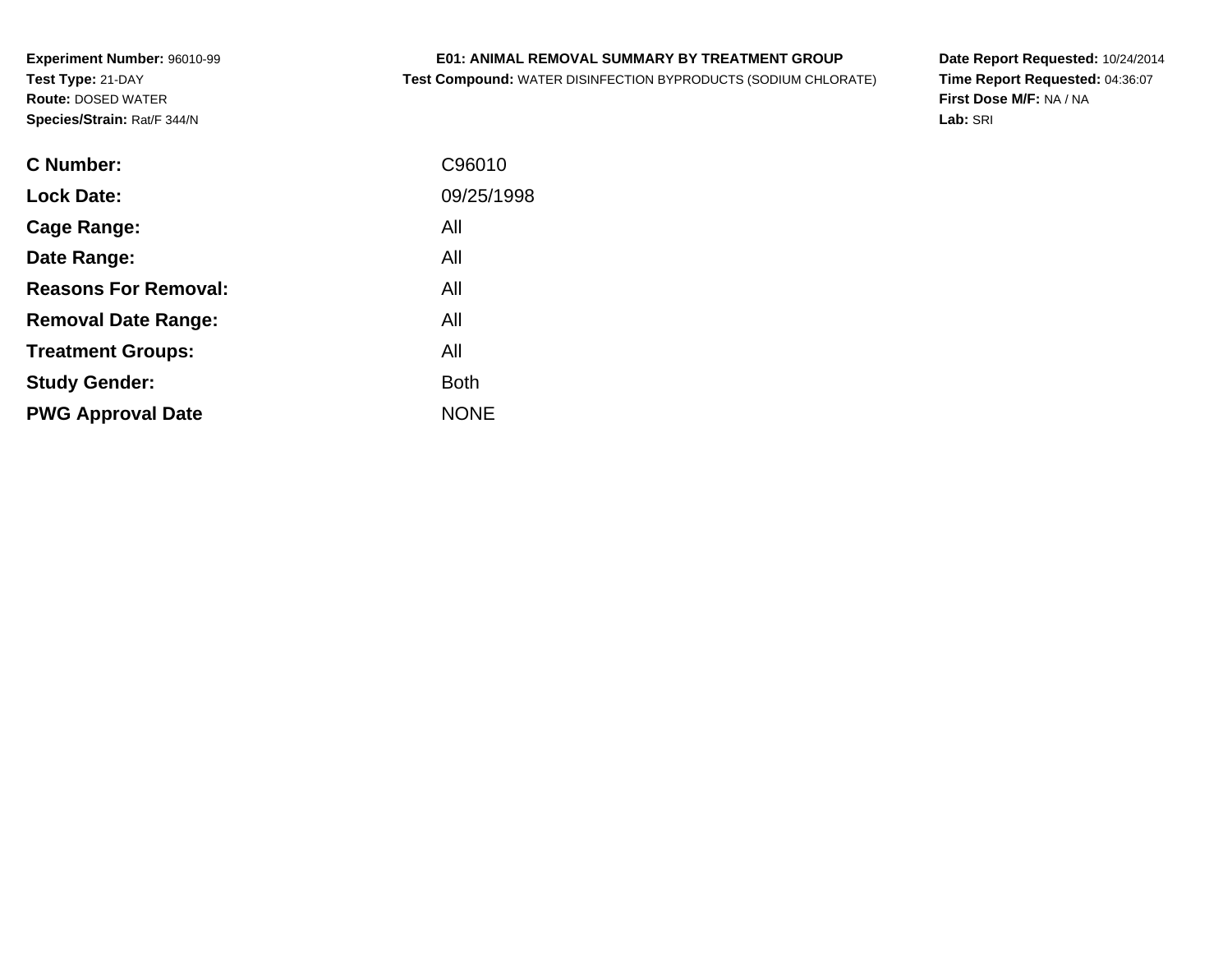# **E01: ANIMAL REMOVAL SUMMARY BY TREATMENT GROUP**

**Test Compound:** WATER DISINFECTION BYPRODUCTS (SODIUM CHLORATE)

**Date Report Requested:** 10/24/2014 **Time Report Requested:** 04:36:07**First Dose M/F:** NA / NA**Lab:** SRI

| <b>C</b> Number:            | C96010      |
|-----------------------------|-------------|
| <b>Lock Date:</b>           | 09/25/1998  |
| Cage Range:                 | All         |
| Date Range:                 | All         |
| <b>Reasons For Removal:</b> | All         |
| <b>Removal Date Range:</b>  | All         |
| <b>Treatment Groups:</b>    | All         |
| <b>Study Gender:</b>        | <b>Both</b> |
| <b>PWG Approval Date</b>    | <b>NONE</b> |
|                             |             |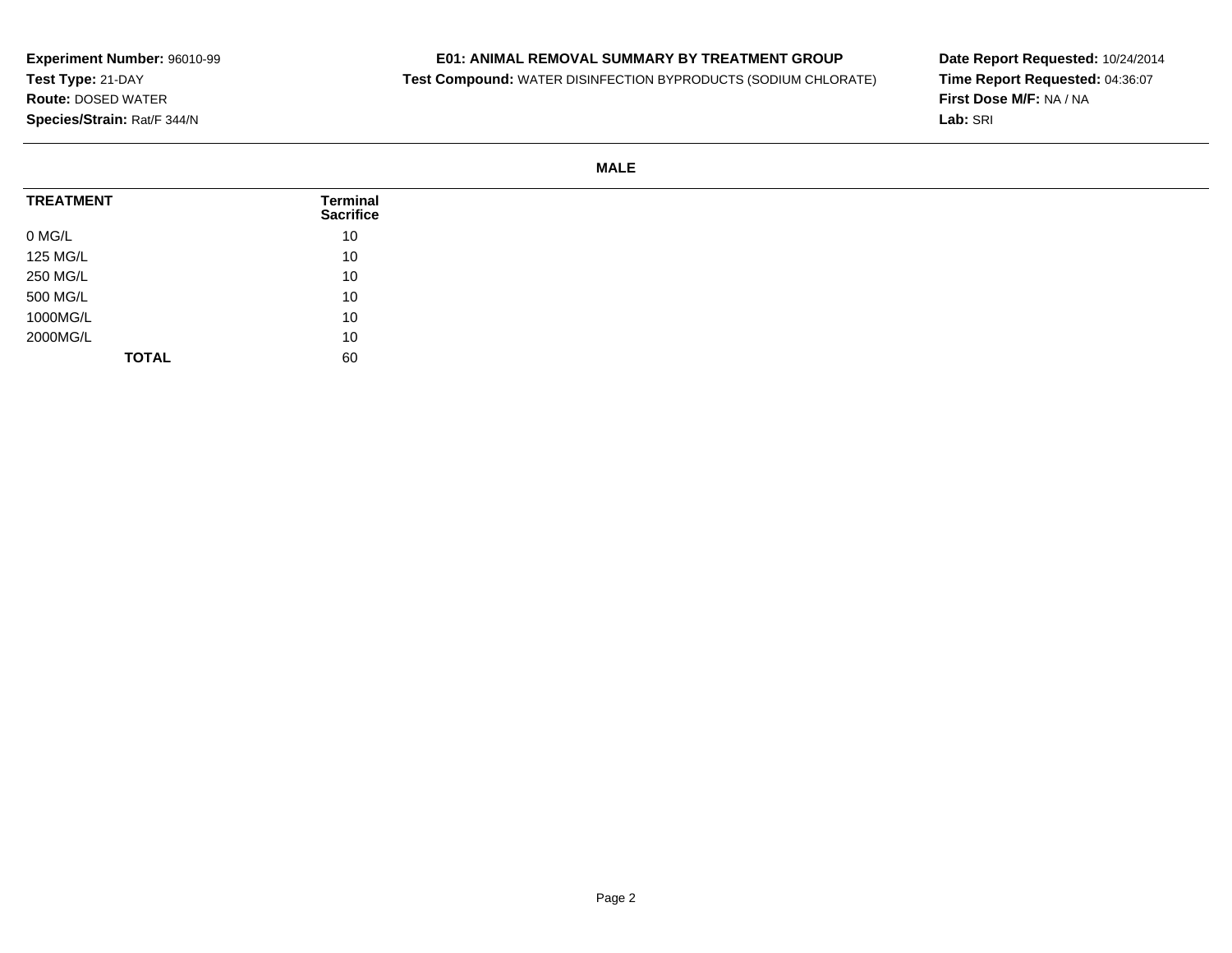# **E01: ANIMAL REMOVAL SUMMARY BY TREATMENT GROUP**

**Test Compound:** WATER DISINFECTION BYPRODUCTS (SODIUM CHLORATE)

**Date Report Requested:** 10/24/2014**Time Report Requested:** 04:36:07**First Dose M/F:** NA / NA**Lab:** SRI

**MALE**

| <b>TREATMENT</b> | Terminal<br><b>Sacrifice</b> |
|------------------|------------------------------|
| 0 MG/L           | 10                           |
| 125 MG/L         | 10                           |
| 250 MG/L         | 10                           |
| 500 MG/L         | 10                           |
| 1000MG/L         | 10                           |
| 2000MG/L         | 10                           |
| <b>TOTAL</b>     | 60                           |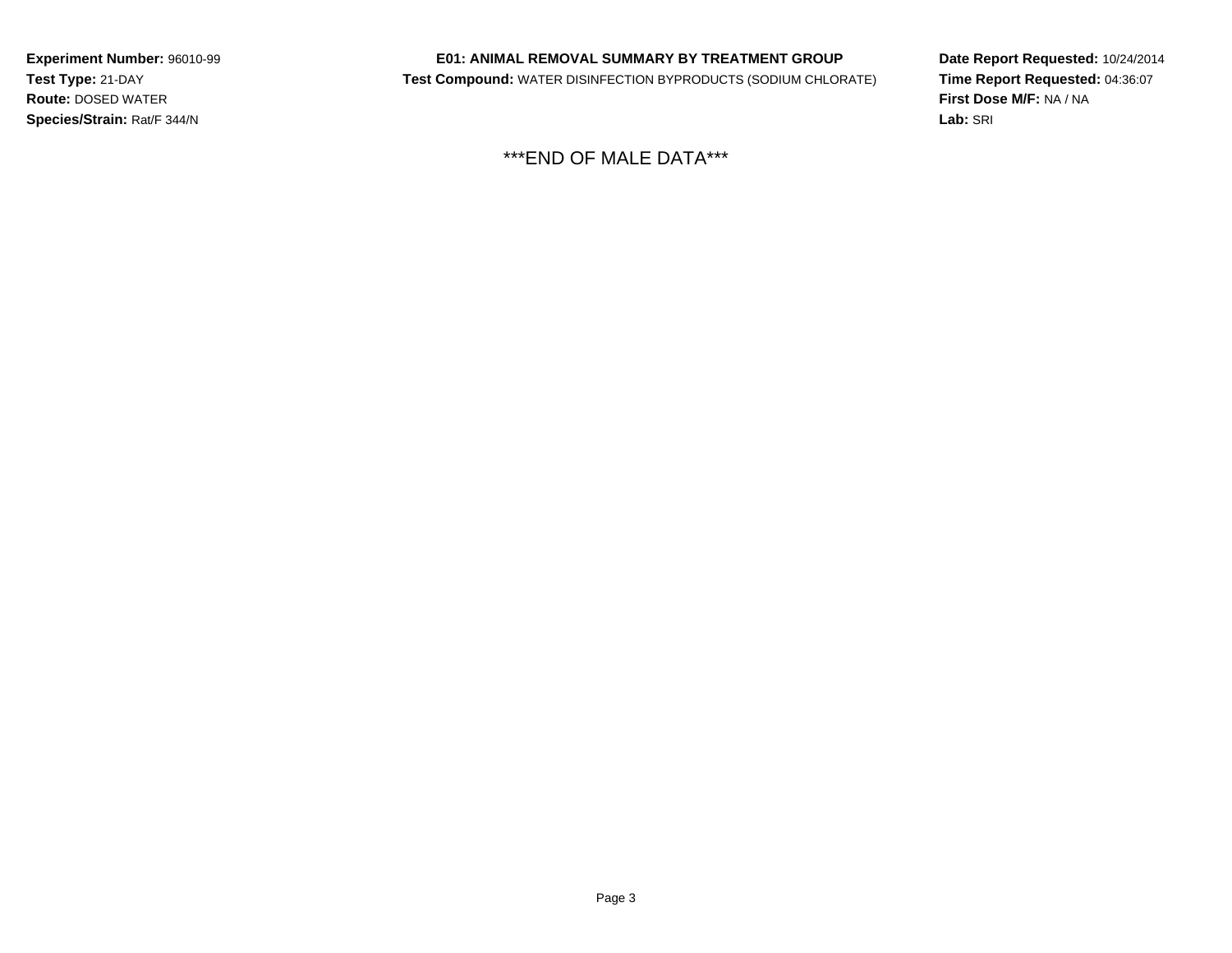# **E01: ANIMAL REMOVAL SUMMARY BY TREATMENT GROUP**

**Test Compound:** WATER DISINFECTION BYPRODUCTS (SODIUM CHLORATE)

**Date Report Requested:** 10/24/2014**Time Report Requested:** 04:36:07**First Dose M/F:** NA / NA**Lab:** SRI

\*\*\*END OF MALE DATA\*\*\*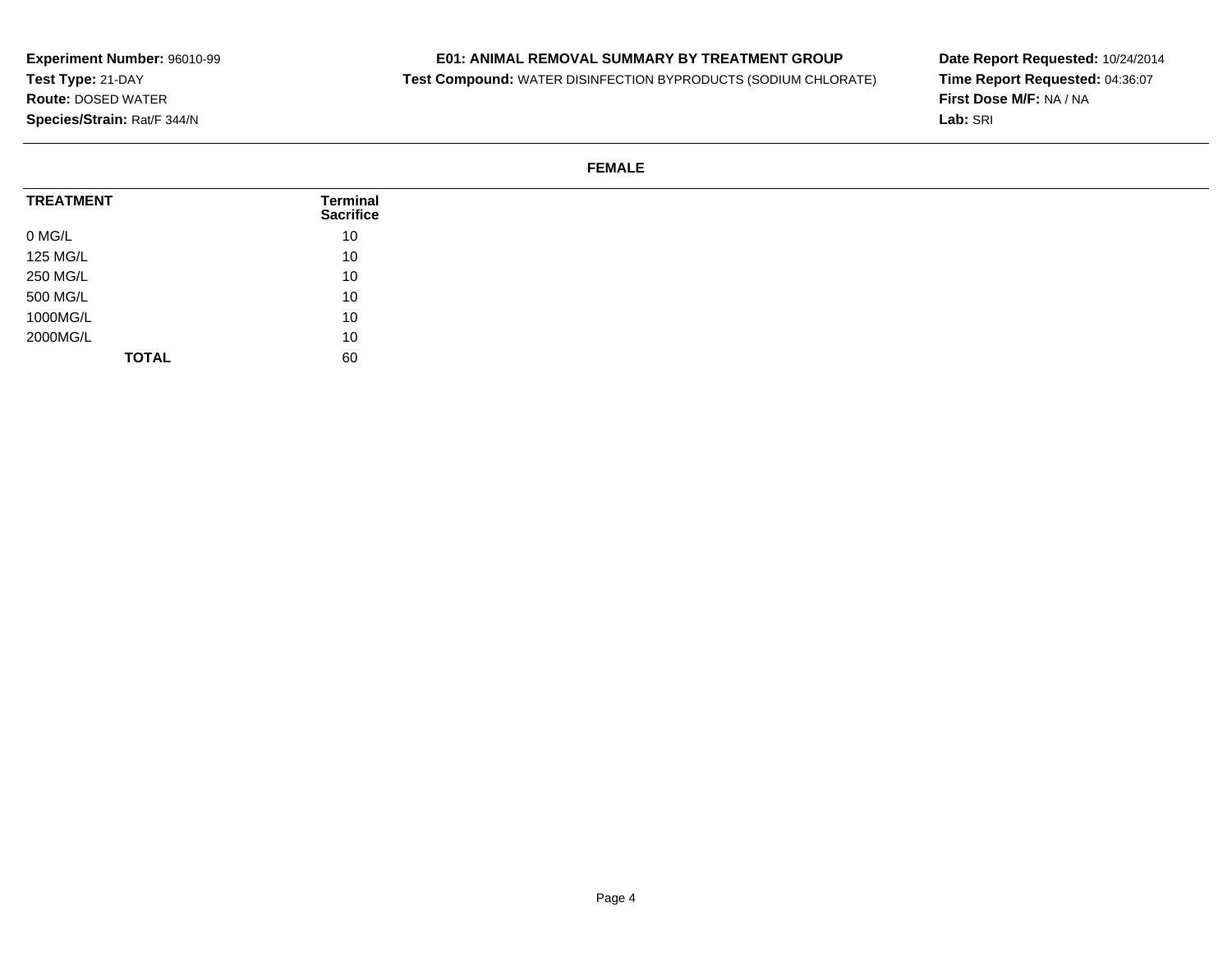#### **E01: ANIMAL REMOVAL SUMMARY BY TREATMENT GROUP**

**Test Compound:** WATER DISINFECTION BYPRODUCTS (SODIUM CHLORATE)

**Date Report Requested:** 10/24/2014**Time Report Requested:** 04:36:07**First Dose M/F:** NA / NA**Lab:** SRI

# **FEMALE**

| <b>TREATMENT</b> | <b>Terminal</b><br><b>Sacrifice</b> |
|------------------|-------------------------------------|
| 0 MG/L           | 10                                  |
| 125 MG/L         | 10                                  |
| 250 MG/L         | 10                                  |
| 500 MG/L         | 10                                  |
| 1000MG/L         | 10                                  |
| 2000MG/L         | 10                                  |
| <b>TOTAL</b>     | 60                                  |